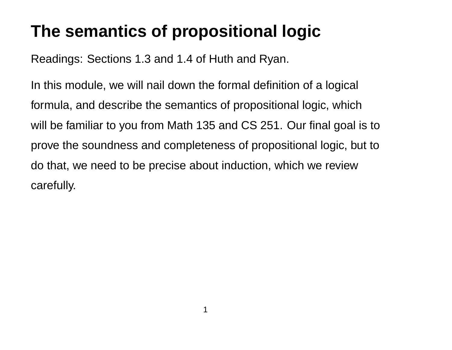# **The semantics of propositional logic**

Readings: Sections 1.3 and 1.4 of Huth and Ryan.

In this module, we will nail down the formal definition of a logical formula, and describe the semantics of propositional logic, which will be familiar to you from Math 135 and CS 251. Our final goal is to prove the soundness and completeness of propositional logic, but to do that, we need to be precise about induction, which we review carefully.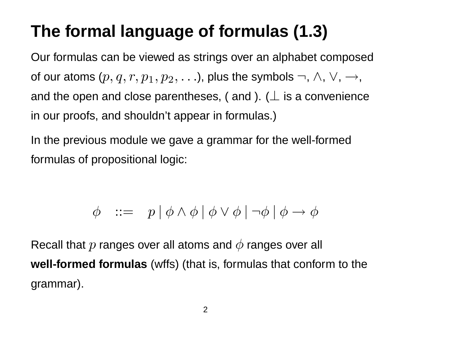# **The formal language of formulas (1.3)**

Our formulas can be viewed as strings over an alphabet composed of our atoms  $(p, q, r, p_1, p_2, \ldots)$ , plus the symbols  $\neg$ ,  $\land$ ,  $\lor$ ,  $\rightarrow$ , and the open and close parentheses, ( and ). ( $\perp$  is a convenience in our proofs, and shouldn't appear in formulas.)

In the previous module we gave a grammar for the well-formed formulas of propositional logic:

$$
\phi \ ::= \ p \ | \ \phi \wedge \phi \ | \ \phi \vee \phi \ | \ \neg \phi \ | \ \phi \rightarrow \phi
$$

Recall that  $p$  ranges over all atoms and  $\phi$  ranges over all **well-formed formulas** (wffs) (that is, formulas that conform to the grammar).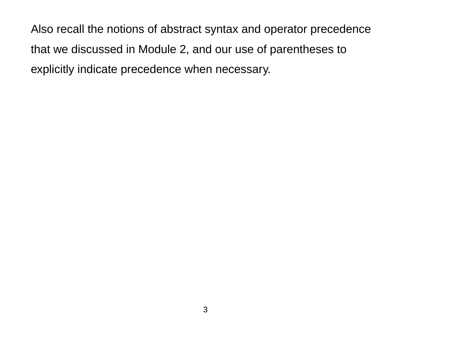Also recall the notions of abstract syntax and operator precedence that we discussed in Module 2, and our use of parentheses to explicitly indicate precedence when necessary.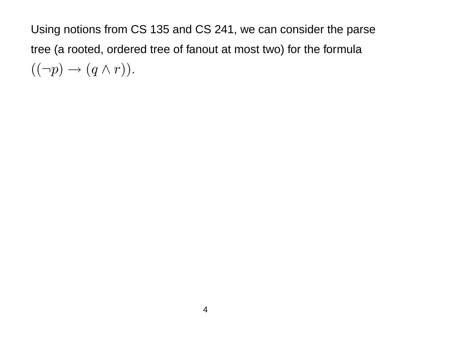Using notions from CS 135 and CS 241, we can consider the parse tree (a rooted, ordered tree of fanout at most two) for the formula  $((\neg p) \rightarrow (q \wedge r)).$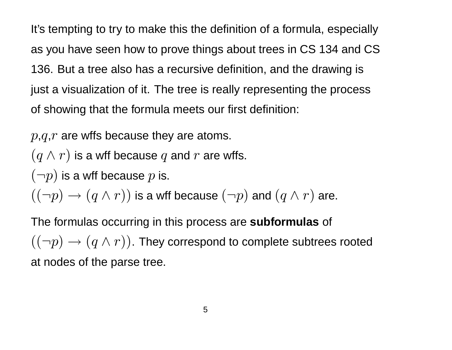It's tempting to try to make this the definition of a formula, especially as you have seen how to prove things about trees in CS 134 and CS 136. But a tree also has a recursive definition, and the drawing is just a visualization of it. The tree is really representing the process of showing that the formula meets our first definition:

 $p,q,r$  are wffs because they are atoms.

 $(q \wedge r)$  is a wff because q and r are wffs.

 $(-p)$  is a wff because  $p$  is.

 $((\neg p) \rightarrow (q \wedge r))$  is a wff because  $(\neg p)$  and  $(q \wedge r)$  are.

The formulas occurring in this process are **subformulas** of  $((\neg p) \rightarrow (q \wedge r))$ . They correspond to complete subtrees rooted at nodes of the parse tree.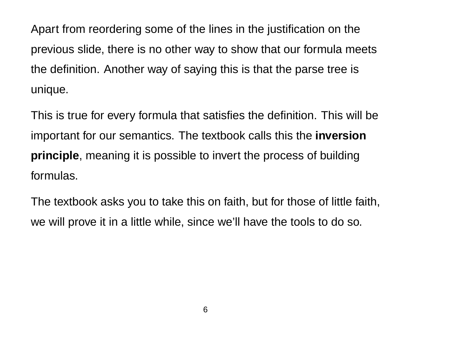Apart from reordering some of the lines in the justification on the previous slide, there is no other way to show that our formula meets the definition. Another way of saying this is that the parse tree is unique.

This is true for every formula that satisfies the definition. This will be important for our semantics. The textbook calls this the **inversion principle**, meaning it is possible to invert the process of building formulas.

The textbook asks you to take this on faith, but for those of little faith, we will prove it in a little while, since we'll have the tools to do so.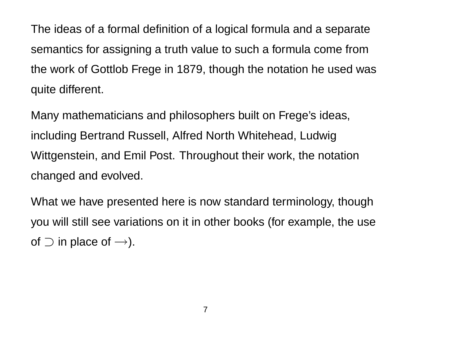The ideas of a formal definition of a logical formula and a separate semantics for assigning a truth value to such a formula come from the work of Gottlob Frege in 1879, though the notation he used was quite different.

Many mathematicians and philosophers built on Frege's ideas, including Bertrand Russell, Alfred North Whitehead, Ludwig Wittgenstein, and Emil Post. Throughout their work, the notation changed and evolved.

What we have presented here is now standard terminology, though you will still see variations on it in other books (for example, the use of  $\supset$  in place of  $\rightarrow$ ).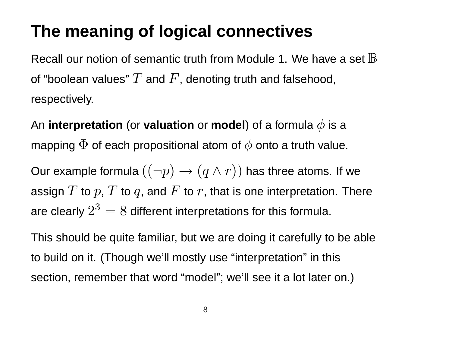# **The meaning of logical connectives**

Recall our notion of semantic truth from Module 1. We have a set  $\mathbb B$ of "boolean values"  $T$  and  $F$ , denoting truth and falsehood, respectively.

An **interpretation** (or **valuation** or **model**) of a formula  $\phi$  is a mapping  $\Phi$  of each propositional atom of  $\phi$  onto a truth value.

Our example formula  $((\neg p) \rightarrow (q \land r))$  has three atoms. If we assign  $T$  to  $p$ ,  $T$  to  $q$ , and  $F$  to  $r$ , that is one interpretation. There are clearly  $2^3=8$  different interpretations for this formula.

This should be quite familiar, but we are doing it carefully to be able to build on it. (Though we'll mostly use "interpretation" in this section, remember that word "model"; we'll see it a lot later on.)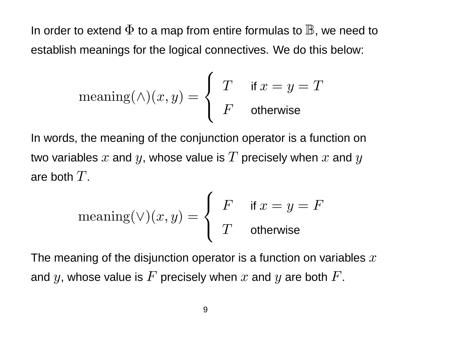In order to extend  $\Phi$  to a map from entire formulas to  $\mathbb B$ , we need to establish meanings for the logical connectives. We do this below:

$$
\mathrm{meaning}(\wedge)(x,y) = \left\{ \begin{array}{ll} T & \text{if } x = y = T \\ F & \text{otherwise} \end{array} \right.
$$

In words, the meaning of the conjunction operator is a function on two variables  $x$  and  $y$ , whose value is  $T$  precisely when  $x$  and  $y$ are both  $T$ .

$$
\mathrm{meaning}(\vee)(x,y) = \left\{ \begin{array}{ll} F & \text{if } x = y = F \\ T & \text{otherwise} \end{array} \right.
$$

The meaning of the disjunction operator is a function on variables  $x$ and y, whose value is  $F$  precisely when  $x$  and  $y$  are both  $F$ .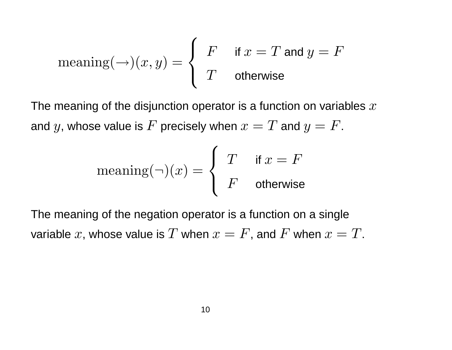$$
\mathrm{meaning}(\rightarrow)(x,y) = \left\{ \begin{array}{ll} F & \textrm{if } x = T \textrm{ and } y = F \\ T & \textrm{otherwise} \end{array} \right.
$$

The meaning of the disjunction operator is a function on variables  $x$ and y, whose value is F precisely when  $x = T$  and  $y = F$ .

$$
\mathrm{meaning}(\neg)(x) = \begin{cases} T & \text{if } x = F \\ F & \text{otherwise} \end{cases}
$$

The meaning of the negation operator is a function on a single variable x, whose value is T when  $x = F$ , and F when  $x = T$ .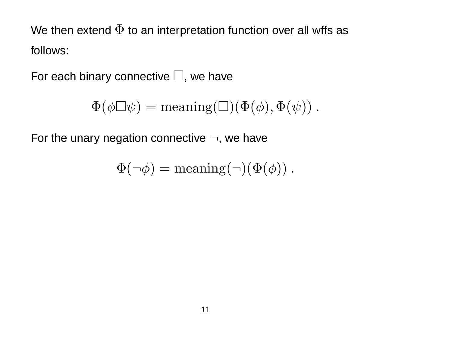We then extend  $\Phi$  to an interpretation function over all wffs as follows:

For each binary connective  $\square$ , we have

$$
\Phi(\phi \Box \psi) = \text{meaning}(\Box)(\Phi(\phi), \Phi(\psi)).
$$

For the unary negation connective  $\neg$ , we have

$$
\Phi(\neg \phi) = \text{meaning}(\neg)(\Phi(\phi)).
$$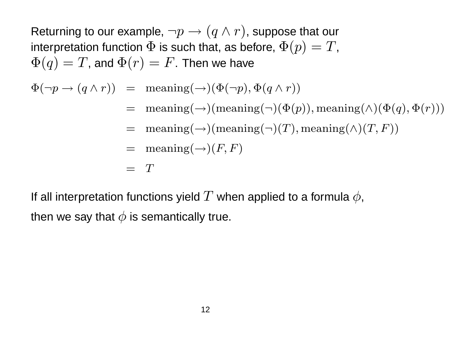Returning to our example,  $\neg p \rightarrow (q \wedge r)$ , suppose that our interpretation function  $\Phi$  is such that, as before,  $\Phi(p) = T$ ,  $\Phi(q) = T$ , and  $\Phi(r) = F$ . Then we have

- $\Phi(\neg p \rightarrow (q \wedge r))$  = meaning( $\rightarrow) (\Phi(\neg p), \Phi(q \wedge r))$ 
	- $=$  meaning(→)(meaning(¬)( $\Phi(p)$ ), meaning( $\wedge$ )( $\Phi(q)$ ,  $\Phi(r)$ ))
	- $=$  meaning( $\rightarrow$ )(meaning( $\neg$ )(T), meaning( $\land$ )(T, F))
	- $=$  meaning $(\rightarrow)(F, F)$

$$
= \quad T
$$

If all interpretation functions yield  $T$  when applied to a formula  $\phi$ , then we say that  $\phi$  is semantically true.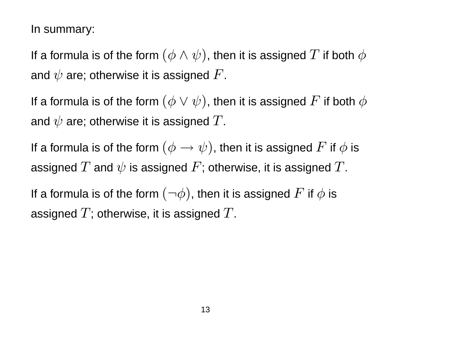In summary:

If a formula is of the form  $(\phi \wedge \psi)$ , then it is assigned  $T$  if both  $\phi$ and  $\psi$  are; otherwise it is assigned  $F$ .

If a formula is of the form  $(\phi \vee \psi)$ , then it is assigned  $F$  if both  $\phi$ and  $\psi$  are; otherwise it is assigned  $T$ .

If a formula is of the form  $(\phi \to \psi)$ , then it is assigned  $F$  if  $\phi$  is assigned  $T$  and  $\psi$  is assigned  $F$ ; otherwise, it is assigned  $T$ .

If a formula is of the form  $(\neg \phi)$ , then it is assigned  $F$  if  $\phi$  is assigned  $T$ ; otherwise, it is assigned  $T$ .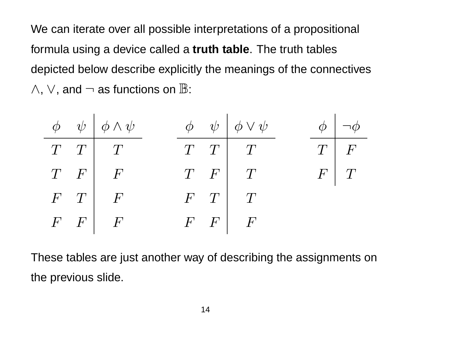We can iterate over all possible interpretations of a propositional formula using a device called a **truth table**. The truth tables depicted below describe explicitly the meanings of the connectives  $\wedge$ ,  $\vee$ , and  $\neg$  as functions on  $\mathbb{B}$ :

|  | $\phi \quad \psi \mid \phi \wedge \psi$ |  | $\phi \quad \psi \quad \phi \vee \psi$ |  | $\phi$ $\phi$ |
|--|-----------------------------------------|--|----------------------------------------|--|---------------|
|  | $T$ $T$ $T$                             |  | $T$ $T$ $T$                            |  | $T \mid F$    |
|  | $T \quad F \mid F$                      |  | $T \quad F \mid T$                     |  | $F \mid T$    |
|  | $F$ $T$ $F$                             |  | $F$ $T$ $T$                            |  |               |
|  | $F \mid F \mid F$                       |  | $F \mid F \mid F$                      |  |               |

These tables are just another way of describing the assignments on the previous slide.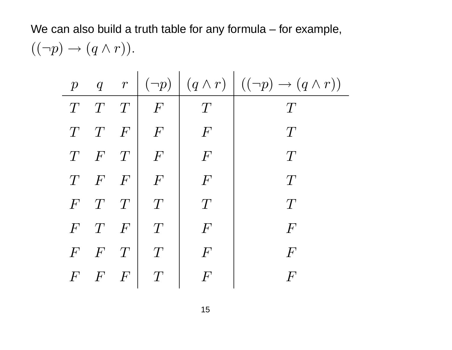### We can also build a truth table for any formula – for example,  $((\neg p) \rightarrow (q \wedge r)).$

| $\overline{p}$   |          |                |                |                  | $q \quad r \mid (\neg p) \mid (q \wedge r) \mid ((\neg p) \rightarrow (q \wedge r))$ |
|------------------|----------|----------------|----------------|------------------|--------------------------------------------------------------------------------------|
| T                | T        | T              | $\,F$          | T                | T                                                                                    |
| T                | T        | $\overline{F}$ | $\overline{F}$ | $\bm{F}$         | T                                                                                    |
| T                | $\bm{F}$ | $\top$         | $\overline{F}$ | $\overline{F}$   | T                                                                                    |
| T                | $\bm{F}$ | $\overline{F}$ | $\bm{F}$       | $\,F$            | T                                                                                    |
| $\overline{F}$   | T        | T              | T              | T                | T                                                                                    |
| $\overline{F}$   | T        | $\overline{F}$ | T              | $\overline{F}$   | $\bm{F}$                                                                             |
| $\boldsymbol{F}$ | $\bm{F}$ | T              | T              | $\boldsymbol{F}$ | $\bm{F}$                                                                             |
| $\bm{F}$         | $\bm{F}$ | $\overline{F}$ | T              | $\bm{F}$         | $\bm{F}$                                                                             |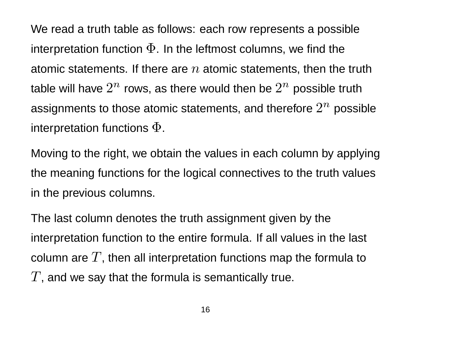We read a truth table as follows: each row represents a possible interpretation function  $\Phi$ . In the leftmost columns, we find the atomic statements. If there are  $n$  atomic statements, then the truth table will have  $2^n$  rows, as there would then be  $2^n$  possible truth assignments to those atomic statements, and therefore  $2^n$  possible interpretation functions  $\Phi$ .

Moving to the right, we obtain the values in each column by applying the meaning functions for the logical connectives to the truth values in the previous columns.

The last column denotes the truth assignment given by the interpretation function to the entire formula. If all values in the last column are  $T$ , then all interpretation functions map the formula to  $T$ , and we say that the formula is semantically true.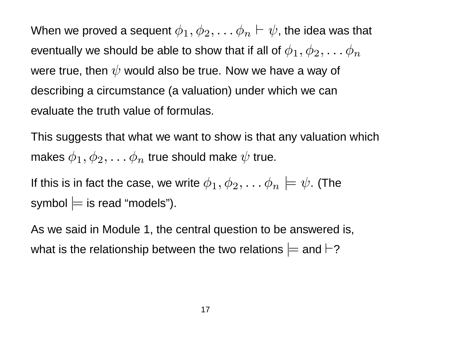When we proved a sequent  $\phi_1, \phi_2, \ldots \phi_n \vdash \psi$ , the idea was that eventually we should be able to show that if all of  $\phi_1, \phi_2, \ldots \phi_n$ were true, then  $\psi$  would also be true. Now we have a way of describing a circumstance (a valuation) under which we can evaluate the truth value of formulas.

This suggests that what we want to show is that any valuation which makes  $\phi_1, \phi_2, \ldots \phi_n$  true should make  $\psi$  true.

If this is in fact the case, we write  $\phi_1, \phi_2, \ldots \phi_n \models \psi$ . (The symbol  $\models$  is read "models").

As we said in Module 1, the central question to be answered is, what is the relationship between the two relations  $\models$  and  $\vdash$ ?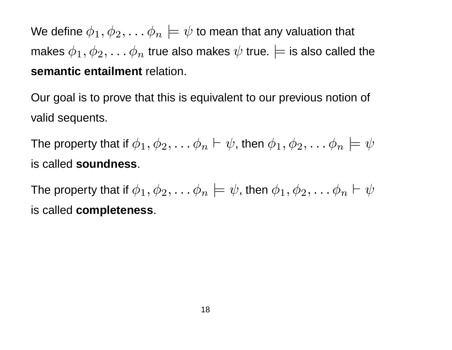We define  $\phi_1, \phi_2, \ldots \phi_n \models \psi$  to mean that any valuation that makes  $\phi_1, \phi_2, \ldots \phi_n$  true also makes  $\psi$  true.  $\models$  is also called the **semantic entailment** relation.

Our goal is to prove that this is equivalent to our previous notion of valid sequents.

The property that if  $\phi_1, \phi_2, \ldots \phi_n \vdash \psi$ , then  $\phi_1, \phi_2, \ldots \phi_n \models \psi$ is called **soundness**.

The property that if  $\phi_1, \phi_2, \ldots \phi_n \models \psi$ , then  $\phi_1, \phi_2, \ldots \phi_n \vdash \psi$ is called **completeness**.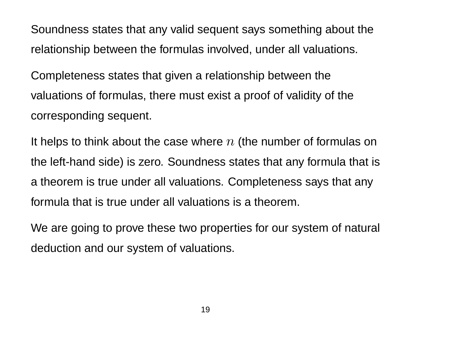Soundness states that any valid sequent says something about the relationship between the formulas involved, under all valuations.

Completeness states that given a relationship between the valuations of formulas, there must exist a proof of validity of the corresponding sequent.

It helps to think about the case where  $n$  (the number of formulas on the left-hand side) is zero. Soundness states that any formula that is a theorem is true under all valuations. Completeness says that any formula that is true under all valuations is a theorem.

We are going to prove these two properties for our system of natural deduction and our system of valuations.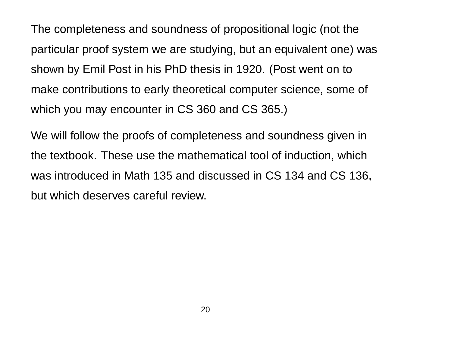The completeness and soundness of propositional logic (not the particular proof system we are studying, but an equivalent one) was shown by Emil Post in his PhD thesis in 1920. (Post went on to make contributions to early theoretical computer science, some of which you may encounter in CS 360 and CS 365.)

We will follow the proofs of completeness and soundness given in the textbook. These use the mathematical tool of induction, which was introduced in Math 135 and discussed in CS 134 and CS 136, but which deserves careful review.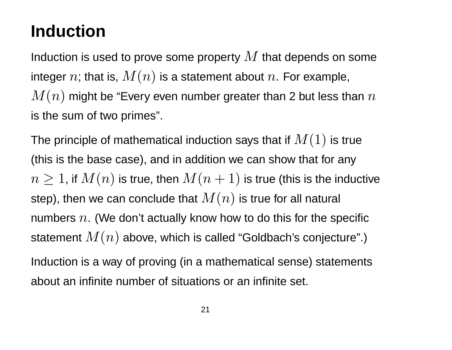### **Induction**

Induction is used to prove some property  $M$  that depends on some integer n; that is,  $M(n)$  is a statement about n. For example,  $M(n)$  might be "Every even number greater than 2 but less than  $n$ is the sum of two primes".

The principle of mathematical induction says that if  $M(1)$  is true (this is the base case), and in addition we can show that for any  $n \geq 1$ , if  $M(n)$  is true, then  $M(n + 1)$  is true (this is the inductive step), then we can conclude that  $M(n)$  is true for all natural numbers  $n$ . (We don't actually know how to do this for the specific statement  $M(n)$  above, which is called "Goldbach's conjecture".) Induction is a way of proving (in a mathematical sense) statements about an infinite number of situations or an infinite set.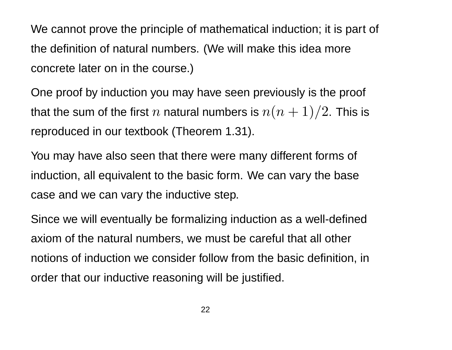We cannot prove the principle of mathematical induction; it is part of the definition of natural numbers. (We will make this idea more concrete later on in the course.)

One proof by induction you may have seen previously is the proof that the sum of the first  $n$  natural numbers is  $n(n + 1)/2$ . This is reproduced in our textbook (Theorem 1.31).

You may have also seen that there were many different forms of induction, all equivalent to the basic form. We can vary the base case and we can vary the inductive step.

Since we will eventually be formalizing induction as a well-defined axiom of the natural numbers, we must be careful that all other notions of induction we consider follow from the basic definition, in order that our inductive reasoning will be justified.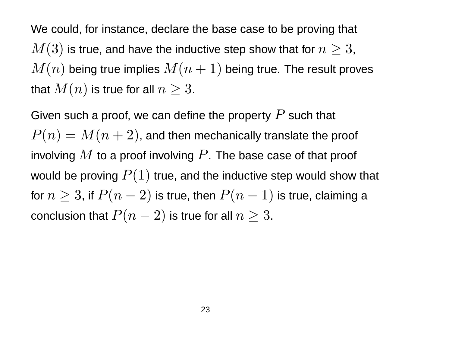We could, for instance, declare the base case to be proving that  $M(3)$  is true, and have the inductive step show that for  $n \geq 3$ ,  $M(n)$  being true implies  $M(n + 1)$  being true. The result proves that  $M(n)$  is true for all  $n \geq 3$ .

Given such a proof, we can define the property  $P$  such that  $P(n) = M(n + 2)$ , and then mechanically translate the proof involving  $M$  to a proof involving  $P$ . The base case of that proof would be proving  $P(1)$  true, and the inductive step would show that for  $n \geq 3$ , if  $P(n-2)$  is true, then  $P(n-1)$  is true, claiming a conclusion that  $P(n-2)$  is true for all  $n \geq 3$ .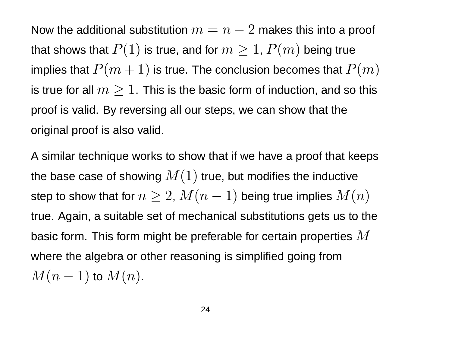Now the additional substitution  $m = n - 2$  makes this into a proof that shows that  $P(1)$  is true, and for  $m \geq 1$ ,  $P(m)$  being true implies that  $P(m + 1)$  is true. The conclusion becomes that  $P(m)$ is true for all  $m \geq 1$ . This is the basic form of induction, and so this proof is valid. By reversing all our steps, we can show that the original proof is also valid.

A similar technique works to show that if we have a proof that keeps the base case of showing  $M(1)$  true, but modifies the inductive step to show that for  $n \geq 2$ ,  $M(n-1)$  being true implies  $M(n)$ true. Again, a suitable set of mechanical substitutions gets us to the basic form. This form might be preferable for certain properties  $M$ where the algebra or other reasoning is simplified going from  $M(n-1)$  to  $M(n)$ .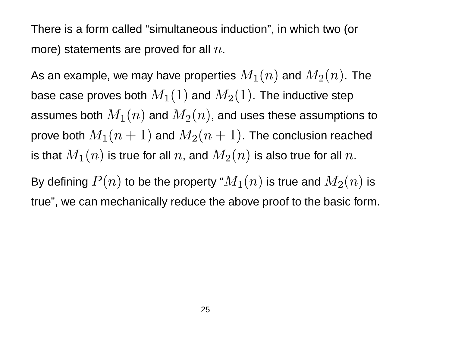There is a form called "simultaneous induction", in which two (or more) statements are proved for all  $n$ .

As an example, we may have properties  $M_1(n)$  and  $M_2(n)$ . The base case proves both  $M_1(1)$  and  $M_2(1)$ . The inductive step assumes both  $M_1(n)$  and  $M_2(n)$ , and uses these assumptions to prove both  $M_1(n + 1)$  and  $M_2(n + 1)$ . The conclusion reached is that  $M_1(n)$  is true for all  $n$ , and  $M_2(n)$  is also true for all  $n$ .

By defining  $P(n)$  to be the property " $M_1(n)$  is true and  $M_2(n)$  is true", we can mechanically reduce the above proof to the basic form.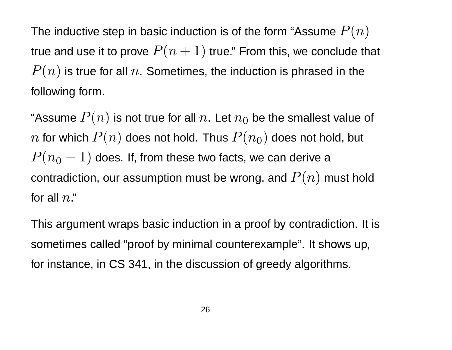The inductive step in basic induction is of the form "Assume  $P(n)$ true and use it to prove  $P(n + 1)$  true." From this, we conclude that  $P(n)$  is true for all  $n$ . Sometimes, the induction is phrased in the following form.

"Assume  $P(n)$  is not true for all  $n.$  Let  $n_{0}$  be the smallest value of n for which  $P(n)$  does not hold. Thus  $P(n_0)$  does not hold, but  $P(n_0 - 1)$  does. If, from these two facts, we can derive a contradiction, our assumption must be wrong, and  $P(n)$  must hold for all  $n$ ."

This argument wraps basic induction in a proof by contradiction. It is sometimes called "proof by minimal counterexample". It shows up, for instance, in CS 341, in the discussion of greedy algorithms.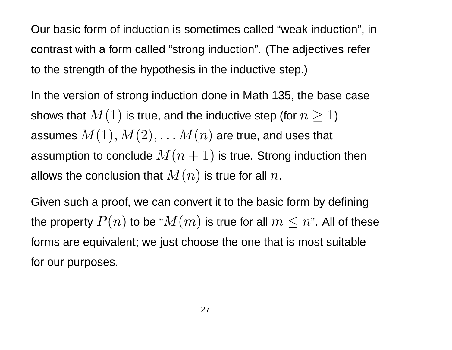Our basic form of induction is sometimes called "weak induction", in contrast with a form called "strong induction". (The adjectives refer to the strength of the hypothesis in the inductive step.)

In the version of strong induction done in Math 135, the base case shows that  $M(1)$  is true, and the inductive step (for  $n \geq 1$ ) assumes  $M(1), M(2), \ldots M(n)$  are true, and uses that assumption to conclude  $M(n + 1)$  is true. Strong induction then allows the conclusion that  $M(n)$  is true for all  $n$ .

Given such a proof, we can convert it to the basic form by defining the property  $P(n)$  to be " $M(m)$  is true for all  $m \leq n$ ". All of these forms are equivalent; we just choose the one that is most suitable for our purposes.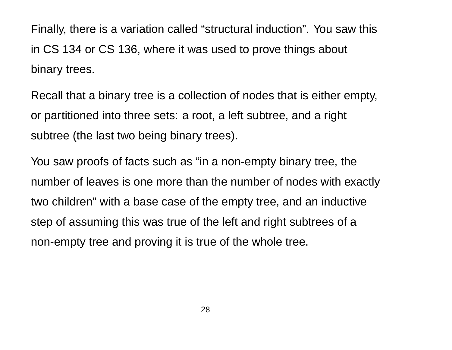Finally, there is a variation called "structural induction". You saw this in CS 134 or CS 136, where it was used to prove things about binary trees.

Recall that a binary tree is a collection of nodes that is either empty, or partitioned into three sets: a root, a left subtree, and a right subtree (the last two being binary trees).

You saw proofs of facts such as "in a non-empty binary tree, the number of leaves is one more than the number of nodes with exactly two children" with a base case of the empty tree, and an inductive step of assuming this was true of the left and right subtrees of a non-empty tree and proving it is true of the whole tree.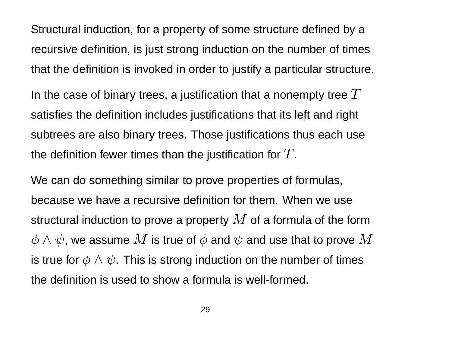Structural induction, for a property of some structure defined by a recursive definition, is just strong induction on the number of times that the definition is invoked in order to justify a particular structure.

In the case of binary trees, a justification that a nonempty tree  $T$ satisfies the definition includes justifications that its left and right subtrees are also binary trees. Those justifications thus each use the definition fewer times than the justification for  $T$ .

We can do something similar to prove properties of formulas, because we have a recursive definition for them. When we use structural induction to prove a property  $M$  of a formula of the form  $\phi \wedge \psi$ , we assume  $M$  is true of  $\phi$  and  $\psi$  and use that to prove  $M$ is true for  $\phi \wedge \psi$ . This is strong induction on the number of times the definition is used to show a formula is well-formed.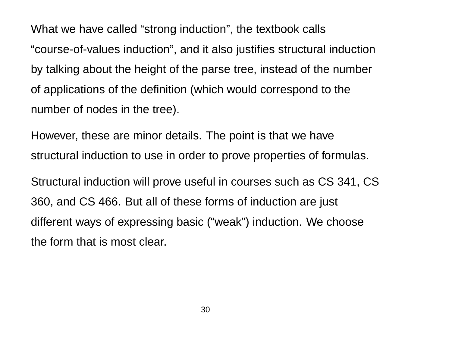What we have called "strong induction", the textbook calls "course-of-values induction", and it also justifies structural induction by talking about the height of the parse tree, instead of the number of applications of the definition (which would correspond to the number of nodes in the tree).

However, these are minor details. The point is that we have structural induction to use in order to prove properties of formulas.

Structural induction will prove useful in courses such as CS 341, CS 360, and CS 466. But all of these forms of induction are just different ways of expressing basic ("weak") induction. We choose the form that is most clear.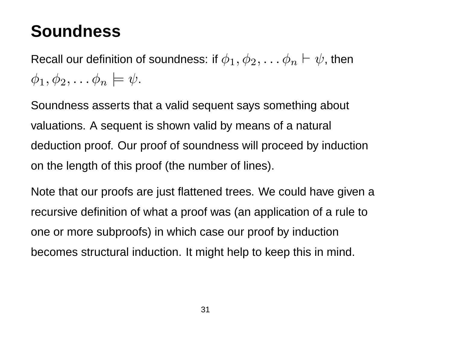### **Soundness**

Recall our definition of soundness: if  $\phi_1, \phi_2, \ldots \phi_n \vdash \psi$ , then  $\phi_1, \phi_2, \ldots \phi_n \models \psi$ .

Soundness asserts that a valid sequent says something about valuations. A sequent is shown valid by means of a natural deduction proof. Our proof of soundness will proceed by induction on the length of this proof (the number of lines).

Note that our proofs are just flattened trees. We could have given a recursive definition of what a proof was (an application of a rule to one or more subproofs) in which case our proof by induction becomes structural induction. It might help to keep this in mind.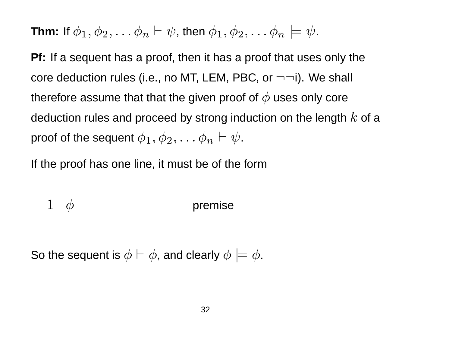**Thm:** If  $\phi_1, \phi_2, \ldots \phi_n \vdash \psi$ , then  $\phi_1, \phi_2, \ldots \phi_n \models \psi$ .

**Pf:** If a sequent has a proof, then it has a proof that uses only the core deduction rules (i.e., no MT, LEM, PBC, or  $\neg\neg i$ ). We shall therefore assume that that the given proof of  $\phi$  uses only core deduction rules and proceed by strong induction on the length  $k$  of a proof of the sequent  $\phi_1, \phi_2, \ldots \phi_n \vdash \psi.$ 

If the proof has one line, it must be of the form

$$
1 \quad \phi \qquad \qquad \text{premise}
$$

So the sequent is  $\phi \vdash \phi$ , and clearly  $\phi \models \phi$ .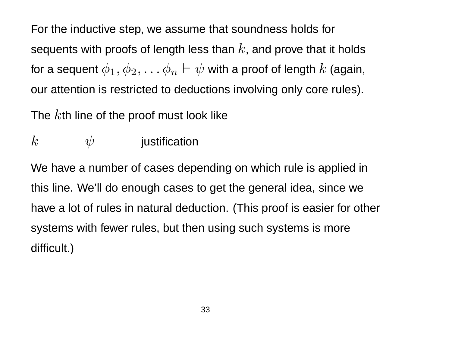For the inductive step, we assume that soundness holds for sequents with proofs of length less than  $k$ , and prove that it holds for a sequent  $\phi_1, \phi_2, \ldots \phi_n \vdash \psi$  with a proof of length  $k$  (again, our attention is restricted to deductions involving only core rules).

The  $k$ th line of the proof must look like

 $k$   $\psi$  justification

We have a number of cases depending on which rule is applied in this line. We'll do enough cases to get the general idea, since we have a lot of rules in natural deduction. (This proof is easier for other systems with fewer rules, but then using such systems is more difficult.)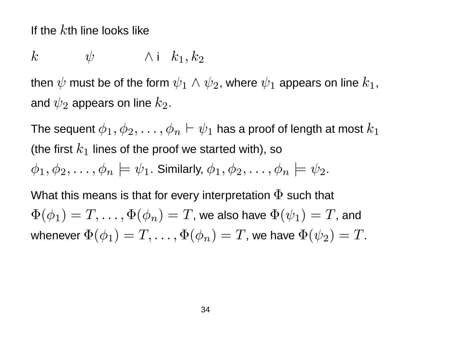If the  $k$ th line looks like

$$
k \qquad \psi \qquad \wedge \text{ i } k_1, k_2
$$

then  $\psi$  must be of the form  $\psi_1 \wedge \psi_2$ , where  $\psi_1$  appears on line  $k_1$ , and  $\psi_2$  appears on line  $k_2.$ 

The sequent  $\phi_1, \phi_2, \ldots, \phi_n \vdash \psi_1$  has a proof of length at most  $k_1$ (the first  $k_1$  lines of the proof we started with), so  $\phi_1, \phi_2, \ldots, \phi_n \models \psi_1$ . Similarly,  $\phi_1, \phi_2, \ldots, \phi_n \models \psi_2$ .

What this means is that for every interpretation  $\Phi$  such that  $\Phi(\phi_1) = T, \ldots, \Phi(\phi_n) = T$ , we also have  $\Phi(\psi_1) = T$ , and whenever  $\Phi(\phi_1) = T, \ldots, \Phi(\phi_n) = T$ , we have  $\Phi(\psi_2) = T$ .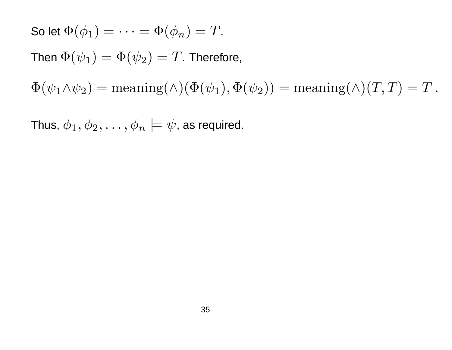So let  $\Phi(\phi_1) = \cdots = \Phi(\phi_n) = T$ . Then  $\Phi(\psi_1) = \Phi(\psi_2) = T$ . Therefore,  $\Phi(\psi_1 \wedge \psi_2) = \text{meaning}(\wedge) (\Phi(\psi_1), \Phi(\psi_2)) = \text{meaning}(\wedge) (T, T) = T.$ 

Thus,  $\phi_1, \phi_2, \ldots, \phi_n \models \psi$ , as required.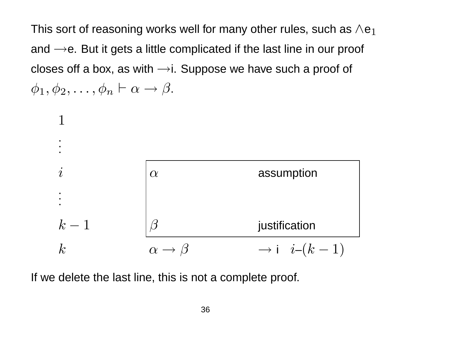This sort of reasoning works well for many other rules, such as  $\wedge e_1$ and  $\rightarrow$ e. But it gets a little complicated if the last line in our proof closes off a box, as with  $\rightarrow$ i. Suppose we have such a proof of  $\phi_1, \phi_2, \ldots, \phi_n \vdash \alpha \to \beta.$ 



If we delete the last line, this is not a complete proof.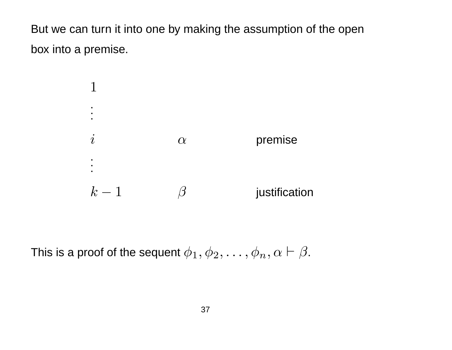But we can turn it into one by making the assumption of the open box into a premise.



This is a proof of the sequent  $\phi_1, \phi_2, \ldots, \phi_n, \alpha \vdash \beta$ .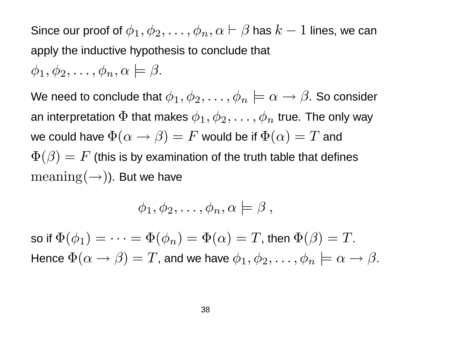Since our proof of  $\phi_1, \phi_2, \ldots, \phi_n, \alpha \vdash \beta$  has  $k-1$  lines, we can apply the inductive hypothesis to conclude that  $\phi_1, \phi_2, \ldots, \phi_n, \alpha \models \beta$ .

We need to conclude that  $\phi_1, \phi_2, \ldots, \phi_n \models \alpha \rightarrow \beta$ . So consider an interpretation  $\Phi$  that makes  $\phi_1, \phi_2, \ldots, \phi_n$  true. The only way we could have  $\Phi(\alpha \to \beta) = F$  would be if  $\Phi(\alpha) = T$  and  $\Phi(\beta) = F$  (this is by examination of the truth table that defines  $\text{meaning}(\rightarrow)$ ). But we have

$$
\phi_1, \phi_2, \ldots, \phi_n, \alpha \models \beta ,
$$

so if  $\Phi(\phi_1) = \cdots = \Phi(\phi_n) = \Phi(\alpha) = T$ , then  $\Phi(\beta) = T$ . Hence  $\Phi(\alpha \to \beta) = T$ , and we have  $\phi_1, \phi_2, \ldots, \phi_n \models \alpha \to \beta$ .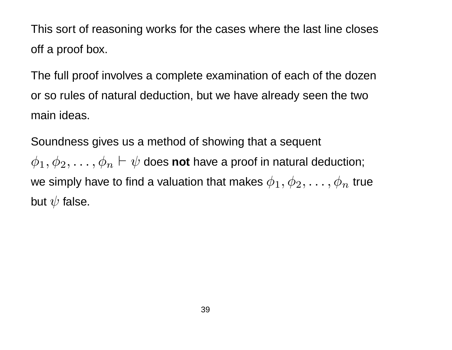This sort of reasoning works for the cases where the last line closes off a proof box.

The full proof involves a complete examination of each of the dozen or so rules of natural deduction, but we have already seen the two main ideas.

Soundness gives us a method of showing that a sequent

 $\phi_1, \phi_2, \ldots, \phi_n \vdash \psi$  does not have a proof in natural deduction; we simply have to find a valuation that makes  $\phi_1, \phi_2, \ldots, \phi_n$  true but  $\psi$  false.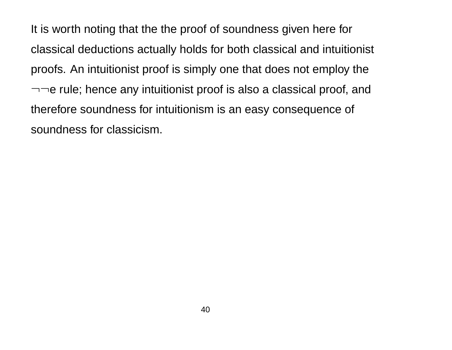It is worth noting that the the proof of soundness given here for classical deductions actually holds for both classical and intuitionist proofs. An intuitionist proof is simply one that does not employ the  $\neg\neg$ e rule; hence any intuitionist proof is also a classical proof, and therefore soundness for intuitionism is an easy consequence of soundness for classicism.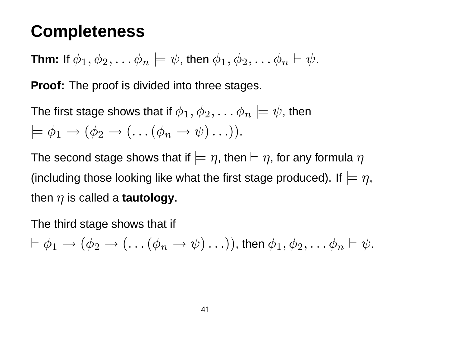### **Completeness**

**Thm:** If 
$$
\phi_1, \phi_2, \ldots \phi_n \models \psi
$$
, then  $\phi_1, \phi_2, \ldots \phi_n \vdash \psi$ .

**Proof:** The proof is divided into three stages.

The first stage shows that if  $\phi_1, \phi_2, \ldots \phi_n \models \psi$ , then  $\models \phi_1 \rightarrow (\phi_2 \rightarrow (\dots (\phi_n \rightarrow \psi) \dots)).$ 

The second stage shows that if  $\models \eta$ , then  $\vdash \eta$ , for any formula  $\eta$ (including those looking like what the first stage produced). If  $\models \eta$ , then  $\eta$  is called a **tautology**.

The third stage shows that if

$$
\vdash \phi_1 \to (\phi_2 \to (\dots (\phi_n \to \psi) \dots)), \text{ then } \phi_1, \phi_2, \dots \phi_n \vdash \psi.
$$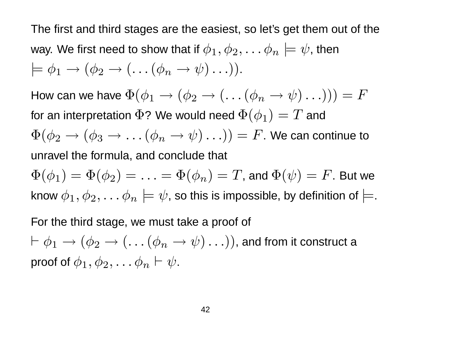The first and third stages are the easiest, so let's get them out of the way. We first need to show that if  $\phi_1, \phi_2, \ldots \phi_n \models \psi$ , then  $\models \phi_1 \rightarrow (\phi_2 \rightarrow (\dots (\phi_n \rightarrow \psi) \dots)).$ How can we have  $\Phi(\phi_1 \to (\phi_2 \to (\dots(\phi_n \to \psi) \dots))) = F$ for an interpretation  $\Phi$ ? We would need  $\Phi(\phi_1) = T$  and  $\Phi(\phi_2 \to (\phi_3 \to \dots (\phi_n \to \psi) \dots)) = F$ . We can continue to unravel the formula, and conclude that  $\Phi(\phi_1) = \Phi(\phi_2) = \ldots = \Phi(\phi_n) = T$ , and  $\Phi(\psi) = F$ . But we know  $\phi_1, \phi_2, \ldots \phi_n \models \psi$ , so this is impossible, by definition of  $\models$ . For the third stage, we must take a proof of  $\vdash \phi_1 \rightarrow (\phi_2 \rightarrow (\dots (\phi_n \rightarrow \psi) \dots))$ , and from it construct a proof of  $\phi_1, \phi_2, \ldots \phi_n \vdash \psi$ .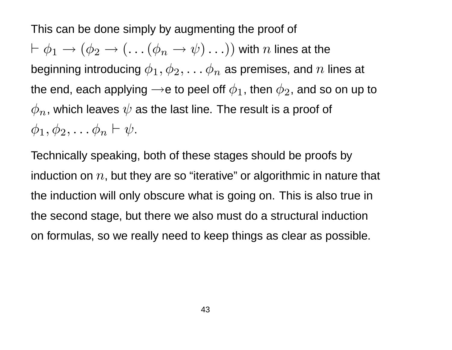This can be done simply by augmenting the proof of  $\vdash \phi_1 \rightarrow (\phi_2 \rightarrow (\dots (\phi_n \rightarrow \psi) \dots))$  with n lines at the beginning introducing  $\phi_1, \phi_2, \ldots \phi_n$  as premises, and  $n$  lines at the end, each applying  $\rightarrow$ e to peel off  $\phi_1$ , then  $\phi_2$ , and so on up to  $\phi_n$ , which leaves  $\psi$  as the last line. The result is a proof of  $\phi_1, \phi_2, \ldots \phi_n \vdash \psi.$ 

Technically speaking, both of these stages should be proofs by induction on  $n$ , but they are so "iterative" or algorithmic in nature that the induction will only obscure what is going on. This is also true in the second stage, but there we also must do a structural induction on formulas, so we really need to keep things as clear as possible.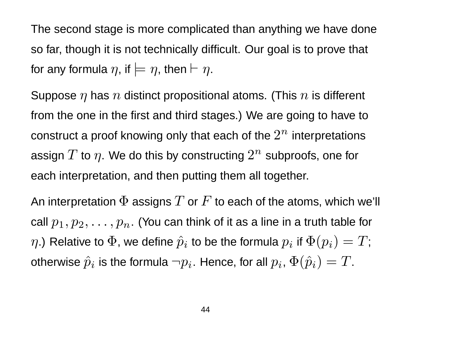The second stage is more complicated than anything we have done so far, though it is not technically difficult. Our goal is to prove that for any formula  $\eta$ , if  $\models \eta$ , then  $\vdash \eta$ .

Suppose  $\eta$  has  $n$  distinct propositional atoms. (This  $n$  is different from the one in the first and third stages.) We are going to have to construct a proof knowing only that each of the  $2^n$  interpretations assign  $T$  to  $\eta.$  We do this by constructing  $2^n$  subproofs, one for each interpretation, and then putting them all together.

An interpretation  $\Phi$  assigns  $T$  or  $F$  to each of the atoms, which we'll call  $p_1, p_2, \ldots, p_n$ . (You can think of it as a line in a truth table for  $\eta$ .) Relative to  $\Phi$ , we define  $\hat{p}_i$  to be the formula  $p_i$  if  $\Phi(p_i)=T;$ otherwise  $\hat{p}_i$  is the formula  $\neg p_i$ . Hence, for all  $p_i$ ,  $\Phi(\hat{p}_i) = T.$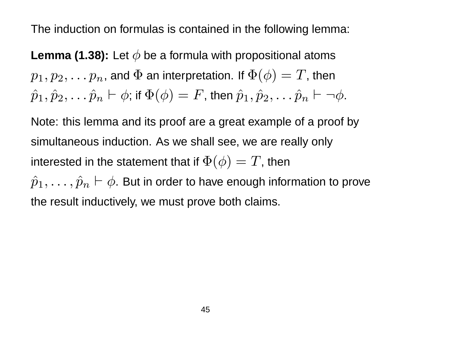The induction on formulas is contained in the following lemma:

**Lemma (1.38):** Let  $\phi$  be a formula with propositional atoms  $p_1, p_2, \ldots p_n$ , and  $\Phi$  an interpretation. If  $\Phi(\phi) = T$ , then  $\hat{p}_1, \hat{p}_2, \ldots \hat{p}_n \vdash \phi$ ; if  $\Phi(\phi) = F$ , then  $\hat{p}_1, \hat{p}_2, \ldots \hat{p}_n \vdash \neg \phi.$ 

Note: this lemma and its proof are a great example of a proof by simultaneous induction. As we shall see, we are really only interested in the statement that if  $\Phi(\phi) = T$ , then  $\hat{p}_1,\ldots,\hat{p}_n \vdash \phi$ . But in order to have enough information to prove the result inductively, we must prove both claims.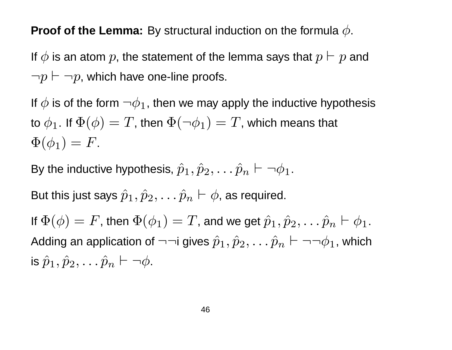#### **Proof of the Lemma:** By structural induction on the formula  $\phi$ .

If  $\phi$  is an atom  $p$ , the statement of the lemma says that  $p \vdash p$  and  $\neg p \vdash \neg p$ , which have one-line proofs.

If  $\phi$  is of the form  $\neg \phi_1$ , then we may apply the inductive hypothesis to  $\phi_1$ . If  $\Phi(\phi) = T$ , then  $\Phi(\neg \phi_1) = T$ , which means that  $\Phi(\phi_1) = F.$ 

By the inductive hypothesis,  $\hat{p}_1, \hat{p}_2, \ldots \hat{p}_n \vdash \neg \phi_1.$ 

But this just says  $\hat{p}_1, \hat{p}_2, \ldots \hat{p}_n \vdash \phi$ , as required.

If  $\Phi(\phi) = F$ , then  $\Phi(\phi_1) = T$ , and we get  $\hat{p}_1, \hat{p}_2, \ldots \hat{p}_n \vdash \phi_1$ . Adding an application of  $\neg\neg$ i gives  $\hat{p}_1,\hat{p}_2,\dots\hat{p}_n\vdash\neg\neg\phi_1$ , which is  $\hat{p}_1, \hat{p}_2, \ldots \hat{p}_n \vdash \neg \phi$ .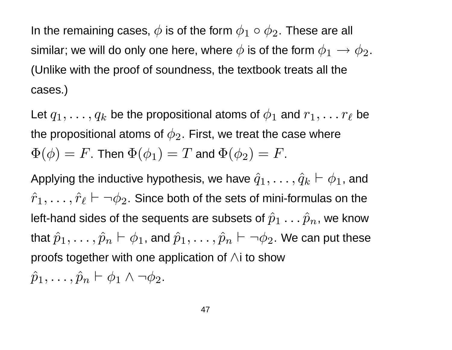In the remaining cases,  $\phi$  is of the form  $\phi_1 \circ \phi_2.$  These are all similar; we will do only one here, where  $\phi$  is of the form  $\phi_1 \rightarrow \phi_2$ . (Unlike with the proof of soundness, the textbook treats all the cases.)

Let  $q_1,\ldots,q_k$  be the propositional atoms of  $\phi_1$  and  $r_1,\ldots r_\ell$  be the propositional atoms of  $\phi_2$ . First, we treat the case where  $\Phi(\phi) = F$ . Then  $\Phi(\phi_1) = T$  and  $\Phi(\phi_2) = F$ .

Applying the inductive hypothesis, we have  $\hat{q}_1, \ldots, \hat{q}_k \vdash \phi_1$ , and  $\hat{r}_1, \ldots, \hat{r}_\ell \vdash \neg \phi_2.$  Since both of the sets of mini-formulas on the left-hand sides of the sequents are subsets of  $\hat{p}_1 \ldots \hat{p}_n$ , we know that  $\hat{p}_1,\ldots,\hat{p}_n \vdash \phi_1$ , and  $\hat{p}_1,\ldots,\hat{p}_n \vdash \neg \phi_2.$  We can put these proofs together with one application of ∧i to show  $\hat{p}_1, \ldots, \hat{p}_n \vdash \phi_1 \wedge \neg \phi_2.$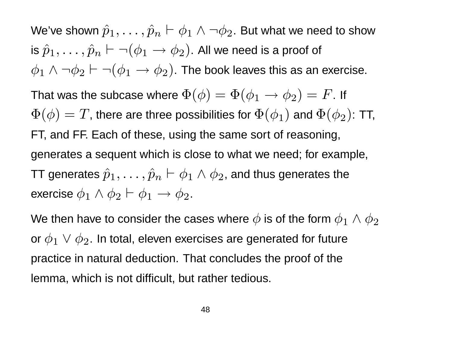We've shown  $\hat{p}_1, \ldots, \hat{p}_n \vdash \phi_1 \wedge \neg \phi_2.$  But what we need to show is  $\hat{p}_1,\ldots,\hat{p}_n \vdash \neg (\phi_1 \rightarrow \phi_2).$  All we need is a proof of  $\phi_1 \wedge \neg \phi_2 \vdash \neg (\phi_1 \rightarrow \phi_2)$ . The book leaves this as an exercise. That was the subcase where  $\Phi(\phi) = \Phi(\phi_1 \to \phi_2) = F$ . If  $\Phi(\phi) = T$ , there are three possibilities for  $\Phi(\phi_1)$  and  $\Phi(\phi_2)$ : TT, FT, and FF. Each of these, using the same sort of reasoning, generates a sequent which is close to what we need; for example, TT generates  $\hat{p}_1, \ldots, \hat{p}_n \vdash \phi_1 \wedge \phi_2$ , and thus generates the exercise  $\phi_1 \wedge \phi_2 \vdash \phi_1 \rightarrow \phi_2.$ 

We then have to consider the cases where  $\phi$  is of the form  $\phi_1 \wedge \phi_2$ or  $\phi_1 \lor \phi_2$ . In total, eleven exercises are generated for future practice in natural deduction. That concludes the proof of the lemma, which is not difficult, but rather tedious.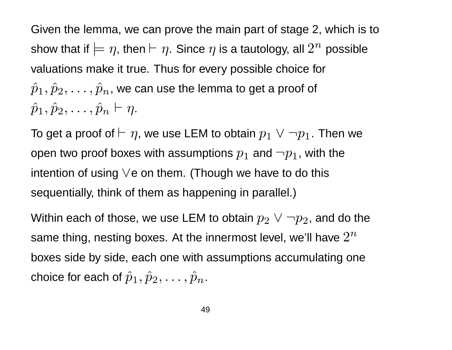Given the lemma, we can prove the main part of stage 2, which is to show that if  $\models \eta,$  then  $\vdash \eta.$  Since  $\eta$  is a tautology, all  $2^n$  possible valuations make it true. Thus for every possible choice for  $\hat{p}_1, \hat{p}_2, \ldots, \hat{p}_n$ , we can use the lemma to get a proof of  $\hat{p}_1, \hat{p}_2, \ldots, \hat{p}_n \vdash \eta.$ 

To get a proof of  $\vdash \eta$ , we use LEM to obtain  $p_1 \lor \neg p_1.$  Then we open two proof boxes with assumptions  $p_1$  and  $\neg p_1$ , with the intention of using ∨e on them. (Though we have to do this sequentially, think of them as happening in parallel.)

Within each of those, we use LEM to obtain  $p_2 \lor \neg p_2$ , and do the same thing, nesting boxes. At the innermost level, we'll have  $2^n$ boxes side by side, each one with assumptions accumulating one choice for each of  $\hat{p}_1, \hat{p}_2, \ldots, \hat{p}_n$ .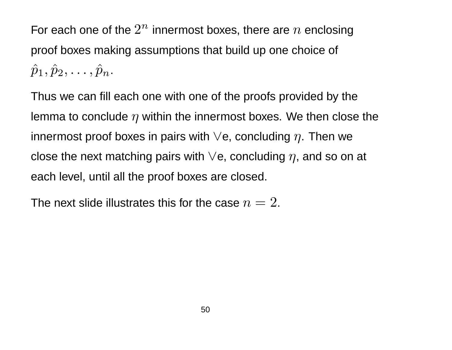For each one of the  $2^n$  innermost boxes, there are  $n$  enclosing proof boxes making assumptions that build up one choice of  $\hat{p}_1, \hat{p}_2, \ldots, \hat{p}_n.$ 

Thus we can fill each one with one of the proofs provided by the lemma to conclude  $\eta$  within the innermost boxes. We then close the innermost proof boxes in pairs with  $\vee$ e, concluding  $\eta$ . Then we close the next matching pairs with  $\vee$ e, concluding  $\eta$ , and so on at each level, until all the proof boxes are closed.

The next slide illustrates this for the case  $n=2$ .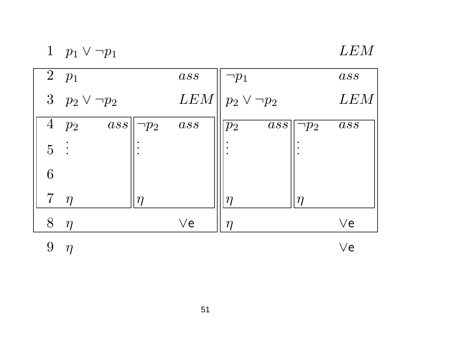|  | $p_1 \vee \neg p_1$ |
|--|---------------------|
|  |                     |

### LEM

|                | $\begin{bmatrix} 2 & p_1 \end{bmatrix}$ |            | ass      | $\neg p_1$                  |            | ass               |
|----------------|-----------------------------------------|------------|----------|-----------------------------|------------|-------------------|
|                | 3 $p_2 \vee \neg p_2$                   |            | LEM      | $p_2 \vee \neg p_2$         |            | LEM               |
|                | $\ ass\ $<br>$4\ \ p_2$                 | $\neg p_2$ | ass      | $\overline{ass}$<br>$ p_2 $ | $\neg p_2$ | $\,$ ass          |
| $\overline{5}$ | $\ddot{\phantom{a}}$                    |            |          |                             |            |                   |
| 6              |                                         |            |          |                             |            |                   |
| 7              | $\eta$                                  | $\eta$     |          | $\eta$                      | $\eta$     |                   |
| 8              | $\eta$                                  |            | $\vee$ e | $\eta$                      |            | $\vee$ e          |
|                |                                         |            |          |                             |            | $\vee \mathsf{e}$ |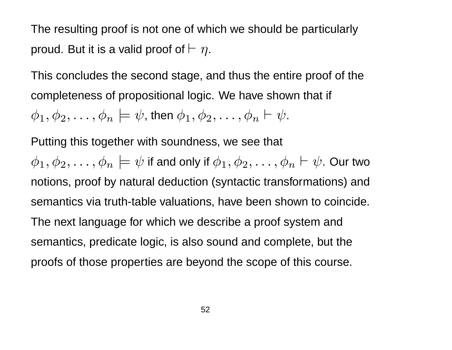The resulting proof is not one of which we should be particularly proud. But it is a valid proof of  $\vdash \eta$ .

This concludes the second stage, and thus the entire proof of the completeness of propositional logic. We have shown that if

 $\phi_1, \phi_2, \ldots, \phi_n \models \psi$ , then  $\phi_1, \phi_2, \ldots, \phi_n \vdash \psi$ .

Putting this together with soundness, we see that

 $\phi_1, \phi_2, \ldots, \phi_n \models \psi$  if and only if  $\phi_1, \phi_2, \ldots, \phi_n \vdash \psi$ . Our two notions, proof by natural deduction (syntactic transformations) and semantics via truth-table valuations, have been shown to coincide. The next language for which we describe a proof system and semantics, predicate logic, is also sound and complete, but the proofs of those properties are beyond the scope of this course.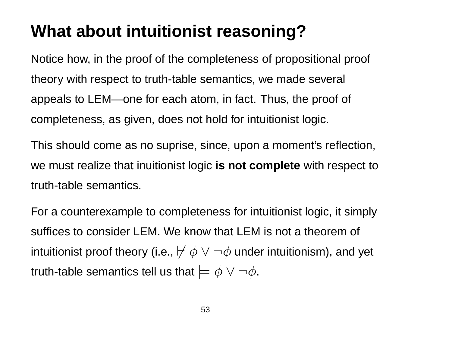### **What about intuitionist reasoning?**

Notice how, in the proof of the completeness of propositional proof theory with respect to truth-table semantics, we made several appeals to LEM—one for each atom, in fact. Thus, the proof of completeness, as given, does not hold for intuitionist logic.

This should come as no suprise, since, upon a moment's reflection, we must realize that inuitionist logic **is not complete** with respect to truth-table semantics.

For a counterexample to completeness for intuitionist logic, it simply suffices to consider LEM. We know that LEM is not a theorem of intuitionist proof theory (i.e.,  $\not\vdash \phi \lor \neg \phi$  under intuitionism), and yet truth-table semantics tell us that  $\models \phi \lor \neg \phi$ .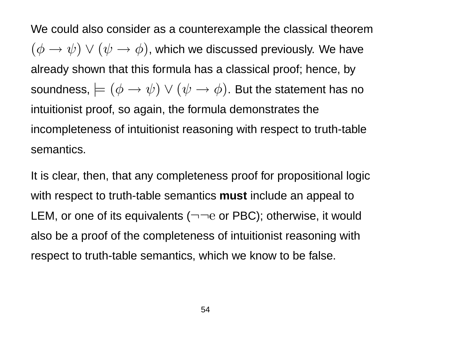We could also consider as a counterexample the classical theorem  $(\phi \rightarrow \psi) \vee (\psi \rightarrow \phi)$ , which we discussed previously. We have already shown that this formula has a classical proof; hence, by soundness,  $\models (\phi \rightarrow \psi) \lor (\psi \rightarrow \phi)$ . But the statement has no intuitionist proof, so again, the formula demonstrates the incompleteness of intuitionist reasoning with respect to truth-table semantics.

It is clear, then, that any completeness proof for propositional logic with respect to truth-table semantics **must** include an appeal to LEM, or one of its equivalents  $(\neg \neg e$  or PBC); otherwise, it would also be a proof of the completeness of intuitionist reasoning with respect to truth-table semantics, which we know to be false.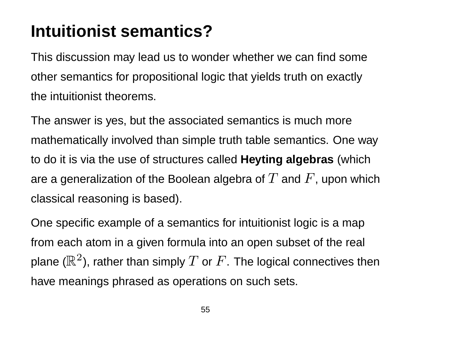# **Intuitionist semantics?**

This discussion may lead us to wonder whether we can find some other semantics for propositional logic that yields truth on exactly the intuitionist theorems.

The answer is yes, but the associated semantics is much more mathematically involved than simple truth table semantics. One way to do it is via the use of structures called **Heyting algebras** (which are a generalization of the Boolean algebra of  $T$  and  $F$ , upon which classical reasoning is based).

One specific example of a semantics for intuitionist logic is a map from each atom in a given formula into an open subset of the real plane ( $\mathbb{R}^2$ ), rather than simply  $T$  or  $F.$  The logical connectives then have meanings phrased as operations on such sets.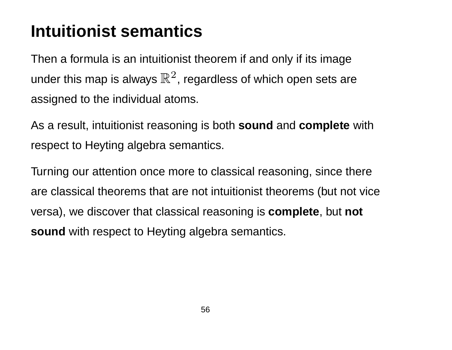# **Intuitionist semantics**

Then a formula is an intuitionist theorem if and only if its image under this map is always  $\mathbb{R}^2$ , regardless of which open sets are assigned to the individual atoms.

As a result, intuitionist reasoning is both **sound** and **complete** with respect to Heyting algebra semantics.

Turning our attention once more to classical reasoning, since there are classical theorems that are not intuitionist theorems (but not vice versa), we discover that classical reasoning is **complete**, but **not sound** with respect to Heyting algebra semantics.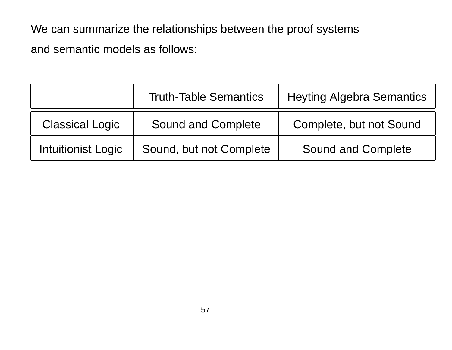We can summarize the relationships between the proof systems and semantic models as follows:

|                           | <b>Truth-Table Semantics</b> | <b>Heyting Algebra Semantics</b> |  |  |
|---------------------------|------------------------------|----------------------------------|--|--|
| <b>Classical Logic</b>    | <b>Sound and Complete</b>    | Complete, but not Sound          |  |  |
| <b>Intuitionist Logic</b> | Sound, but not Complete      | <b>Sound and Complete</b>        |  |  |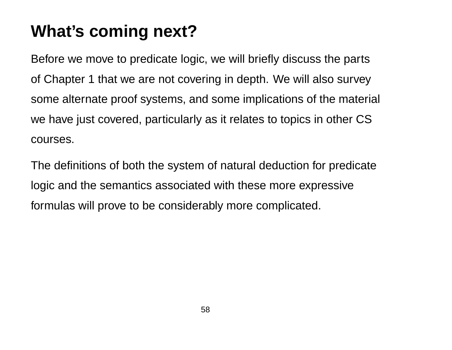# **What's coming next?**

Before we move to predicate logic, we will briefly discuss the parts of Chapter 1 that we are not covering in depth. We will also survey some alternate proof systems, and some implications of the material we have just covered, particularly as it relates to topics in other CS courses.

The definitions of both the system of natural deduction for predicate logic and the semantics associated with these more expressive formulas will prove to be considerably more complicated.